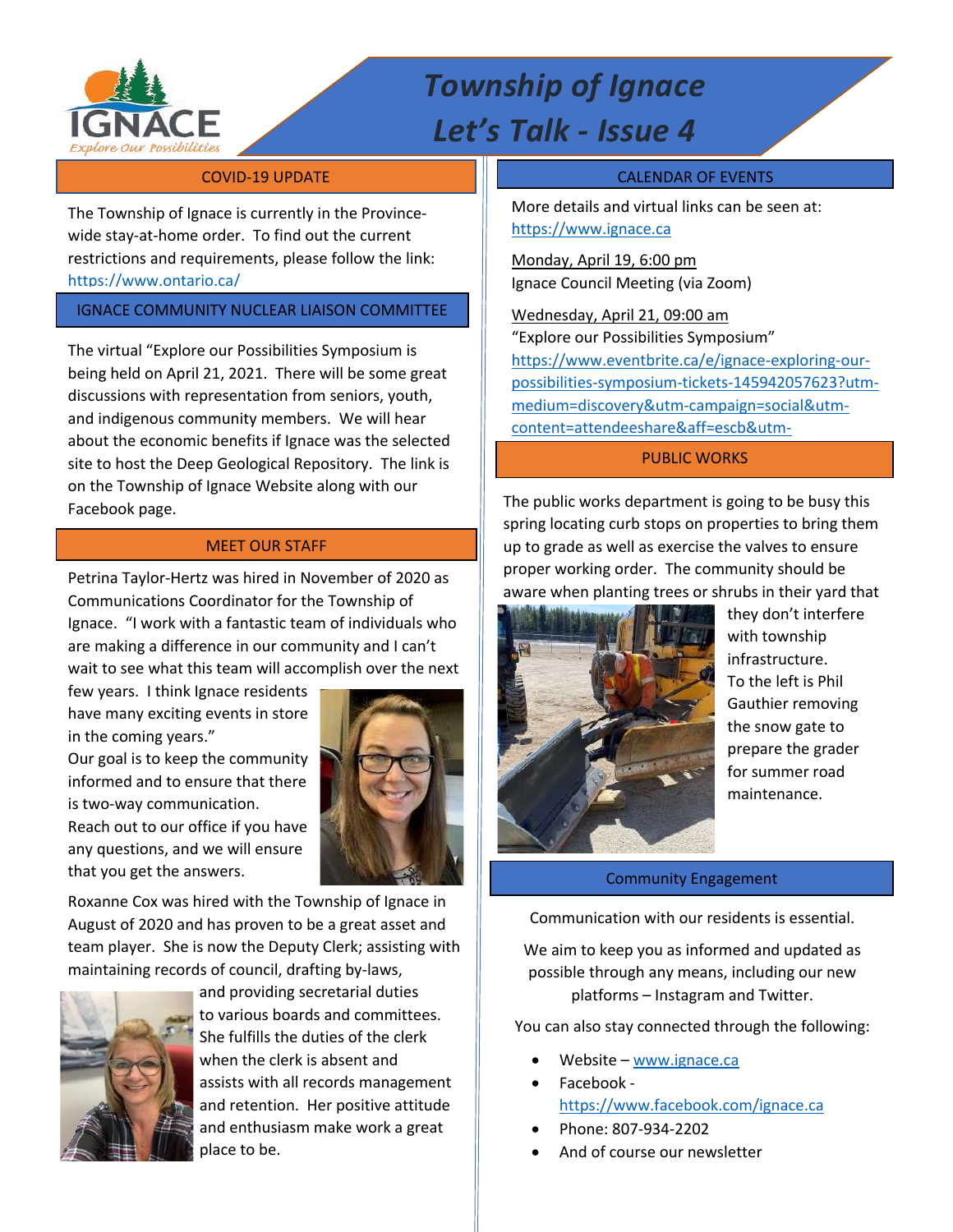

# *Township of Ignace Let's Talk - Issue 4*

The Township of Ignace is currently in the Provincewide stay-at-home order. To find out the current restrictions and requirements, please follow the link: https://www.ontario.ca/

IGNACE COMMUNITY NUCLEAR LIAISON COMMITTEE

The virtual "Explore our Possibilities Symposium is being held on April 21, 2021. There will be some great discussions with representation from seniors, youth, and indigenous community members. We will hear about the economic benefits if Ignace was the selected site to host the Deep Geological Repository. The link is on the Township of Ignace Website along with our Facebook page.

### MEET OUR STAFF

Petrina Taylor-Hertz was hired in November of 2020 as Communications Coordinator for the Township of Ignace. "I work with a fantastic team of individuals who are making a difference in our community and I can't wait to see what this team will accomplish over the next

few years. I think Ignace residents have many exciting events in store in the coming years."

Our goal is to keep the community informed and to ensure that there is two-way communication. Reach out to our office if you have any questions, and we will ensure that you get the answers.



Roxanne Cox was hired with the Township of Ignace in August of 2020 and has proven to be a great asset and team player. She is now the Deputy Clerk; assisting with maintaining records of council, drafting by-laws,



 and providing secretarial duties to various boards and committees. She fulfills the duties of the clerk when the clerk is absent and assists with all records management and retention. Her positive attitude and enthusiasm make work a great place to be.

#### **COVID-19 UPDATE COVID-19 UPDATE CALENDAR OF EVENTS**

More details and virtual links can be seen at: https://www.ignace.ca

Monday, April 19, 6:00 pm Ignace Council Meeting (via Zoom)

Wednesday, April 21, 09:00 am "Explore our Possibilities Symposium" https://www.eventbrite.ca/e/ignace-exploring-ourpossibilities-symposium-tickets-145942057623?utmmedium=discovery&utm-campaign=social&utmcontent=attendeeshare&aff=escb&utm-

## source=cp&utm-term=listing PUBLIC WORKS

The public works department is going to be busy this spring locating curb stops on properties to bring them up to grade as well as exercise the valves to ensure proper working order. The community should be aware when planting trees or shrubs in their yard that



they don't interfere with township infrastructure. To the left is Phil Gauthier removing the snow gate to prepare the grader for summer road maintenance.

#### Community Engagement

Communication with our residents is essential.

We aim to keep you as informed and updated as possible through any means, including our new platforms – Instagram and Twitter.

You can also stay connected through the following:

- Website www.ignace.ca
- Facebook https://www.facebook.com/ignace.ca
- Phone: 807-934-2202
- And of course our newsletter